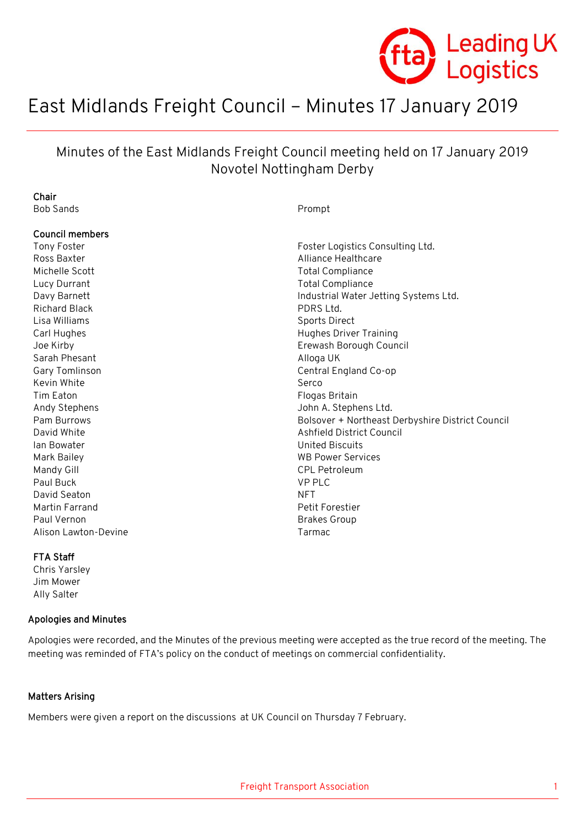

# East Midlands Freight Council – Minutes 17 January 2019

# Minutes of the East Midlands Freight Council meeting held on 17 January 2019 Novotel Nottingham Derby

| Chair                  |                                                  |
|------------------------|--------------------------------------------------|
| <b>Bob Sands</b>       | Prompt                                           |
|                        |                                                  |
| <b>Council members</b> |                                                  |
| Tony Foster            | Foster Logistics Consulting Ltd.                 |
| Ross Baxter            | Alliance Healthcare                              |
| Michelle Scott         | <b>Total Compliance</b>                          |
| Lucy Durrant           | <b>Total Compliance</b>                          |
| Davy Barnett           | Industrial Water Jetting Systems Ltd.            |
| <b>Richard Black</b>   | PDRS Ltd.                                        |
| Lisa Williams          | Sports Direct                                    |
| Carl Hughes            | <b>Hughes Driver Training</b>                    |
| Joe Kirby              | Erewash Borough Council                          |
| Sarah Phesant          | Alloga UK                                        |
| Gary Tomlinson         | Central England Co-op                            |
| Kevin White            | Serco                                            |
| Tim Eaton              | Flogas Britain                                   |
| Andy Stephens          | John A. Stephens Ltd.                            |
| Pam Burrows            | Bolsover + Northeast Derbyshire District Council |
| David White            | Ashfield District Council                        |
| lan Bowater            | <b>United Biscuits</b>                           |
| Mark Bailey            | <b>WB Power Services</b>                         |
| Mandy Gill             | <b>CPL Petroleum</b>                             |
| Paul Buck              | <b>VP PLC</b>                                    |
| David Seaton           | <b>NFT</b>                                       |
| Martin Farrand         | Petit Forestier                                  |
| Paul Vernon            | <b>Brakes Group</b>                              |
| Alison Lawton-Devine   | Tarmac                                           |
|                        |                                                  |
|                        |                                                  |

#### FTA Staff

Chris Yarsley Jim Mower Ally Salter

#### Apologies and Minutes

Apologies were recorded, and the Minutes of the previous meeting were accepted as the true record of the meeting. The meeting was reminded of FTA's policy on the conduct of meetings on commercial confidentiality.

#### Matters Arising

Members were given a report on the discussions at UK Council on Thursday 7 February.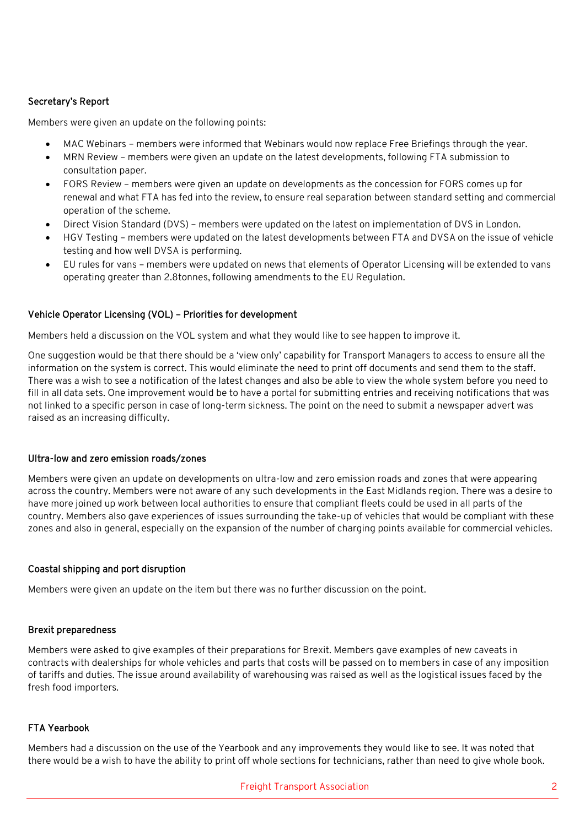# Secretary's Report

Members were given an update on the following points:

- MAC Webinars members were informed that Webinars would now replace Free Briefings through the year.
- MRN Review members were given an update on the latest developments, following FTA submission to consultation paper.
- FORS Review members were given an update on developments as the concession for FORS comes up for renewal and what FTA has fed into the review, to ensure real separation between standard setting and commercial operation of the scheme.
- Direct Vision Standard (DVS) members were updated on the latest on implementation of DVS in London.
- HGV Testing members were updated on the latest developments between FTA and DVSA on the issue of vehicle testing and how well DVSA is performing.
- EU rules for vans members were updated on news that elements of Operator Licensing will be extended to vans operating greater than 2.8tonnes, following amendments to the EU Regulation.

## Vehicle Operator Licensing (VOL) – Priorities for development

Members held a discussion on the VOL system and what they would like to see happen to improve it.

One suggestion would be that there should be a 'view only' capability for Transport Managers to access to ensure all the information on the system is correct. This would eliminate the need to print off documents and send them to the staff. There was a wish to see a notification of the latest changes and also be able to view the whole system before you need to fill in all data sets. One improvement would be to have a portal for submitting entries and receiving notifications that was not linked to a specific person in case of long-term sickness. The point on the need to submit a newspaper advert was raised as an increasing difficulty.

#### Ultra-low and zero emission roads/zones

Members were given an update on developments on ultra-low and zero emission roads and zones that were appearing across the country. Members were not aware of any such developments in the East Midlands region. There was a desire to have more joined up work between local authorities to ensure that compliant fleets could be used in all parts of the country. Members also gave experiences of issues surrounding the take-up of vehicles that would be compliant with these zones and also in general, especially on the expansion of the number of charging points available for commercial vehicles.

#### Coastal shipping and port disruption

Members were given an update on the item but there was no further discussion on the point.

#### Brexit preparedness

Members were asked to give examples of their preparations for Brexit. Members gave examples of new caveats in contracts with dealerships for whole vehicles and parts that costs will be passed on to members in case of any imposition of tariffs and duties. The issue around availability of warehousing was raised as well as the logistical issues faced by the fresh food importers.

#### FTA Yearbook

Members had a discussion on the use of the Yearbook and any improvements they would like to see. It was noted that there would be a wish to have the ability to print off whole sections for technicians, rather than need to give whole book.